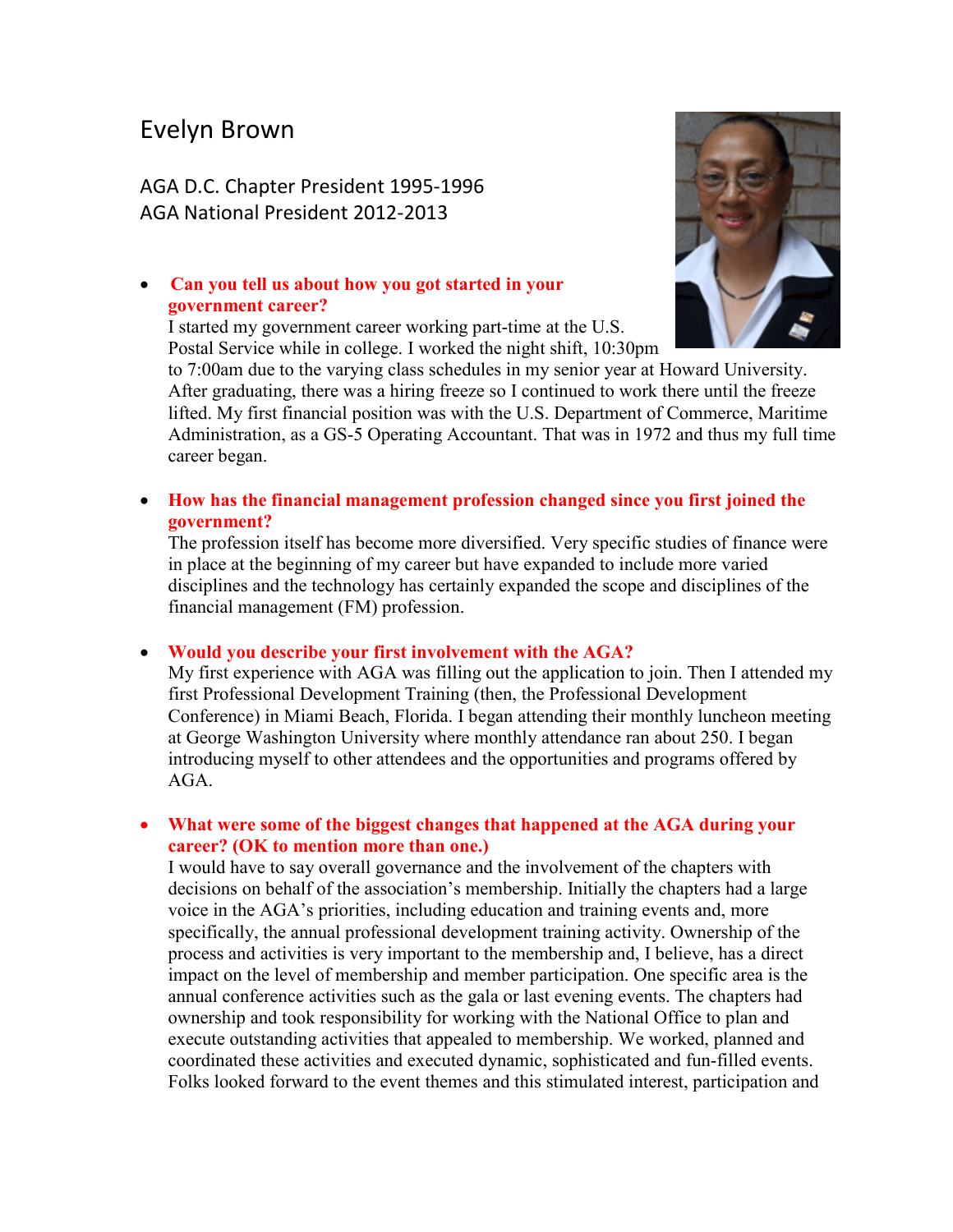# Evelyn Brown

AGA D.C. Chapter President 1995-1996 AGA National President 2012-2013

# • **Can you tell us about how you got started in your government career?**

I started my government career working part-time at the U.S. Postal Service while in college. I worked the night shift, 10:30pm



to 7:00am due to the varying class schedules in my senior year at Howard University. After graduating, there was a hiring freeze so I continued to work there until the freeze lifted. My first financial position was with the U.S. Department of Commerce, Maritime Administration, as a GS-5 Operating Accountant. That was in 1972 and thus my full time career began.

• **How has the financial management profession changed since you first joined the government?**

The profession itself has become more diversified. Very specific studies of finance were in place at the beginning of my career but have expanded to include more varied disciplines and the technology has certainly expanded the scope and disciplines of the financial management (FM) profession.

#### • **Would you describe your first involvement with the AGA?**

My first experience with AGA was filling out the application to join. Then I attended my first Professional Development Training (then, the Professional Development Conference) in Miami Beach, Florida. I began attending their monthly luncheon meeting at George Washington University where monthly attendance ran about 250. I began introducing myself to other attendees and the opportunities and programs offered by AGA.

## • **What were some of the biggest changes that happened at the AGA during your career? (OK to mention more than one.)**

I would have to say overall governance and the involvement of the chapters with decisions on behalf of the association's membership. Initially the chapters had a large voice in the AGA's priorities, including education and training events and, more specifically, the annual professional development training activity. Ownership of the process and activities is very important to the membership and, I believe, has a direct impact on the level of membership and member participation. One specific area is the annual conference activities such as the gala or last evening events. The chapters had ownership and took responsibility for working with the National Office to plan and execute outstanding activities that appealed to membership. We worked, planned and coordinated these activities and executed dynamic, sophisticated and fun-filled events. Folks looked forward to the event themes and this stimulated interest, participation and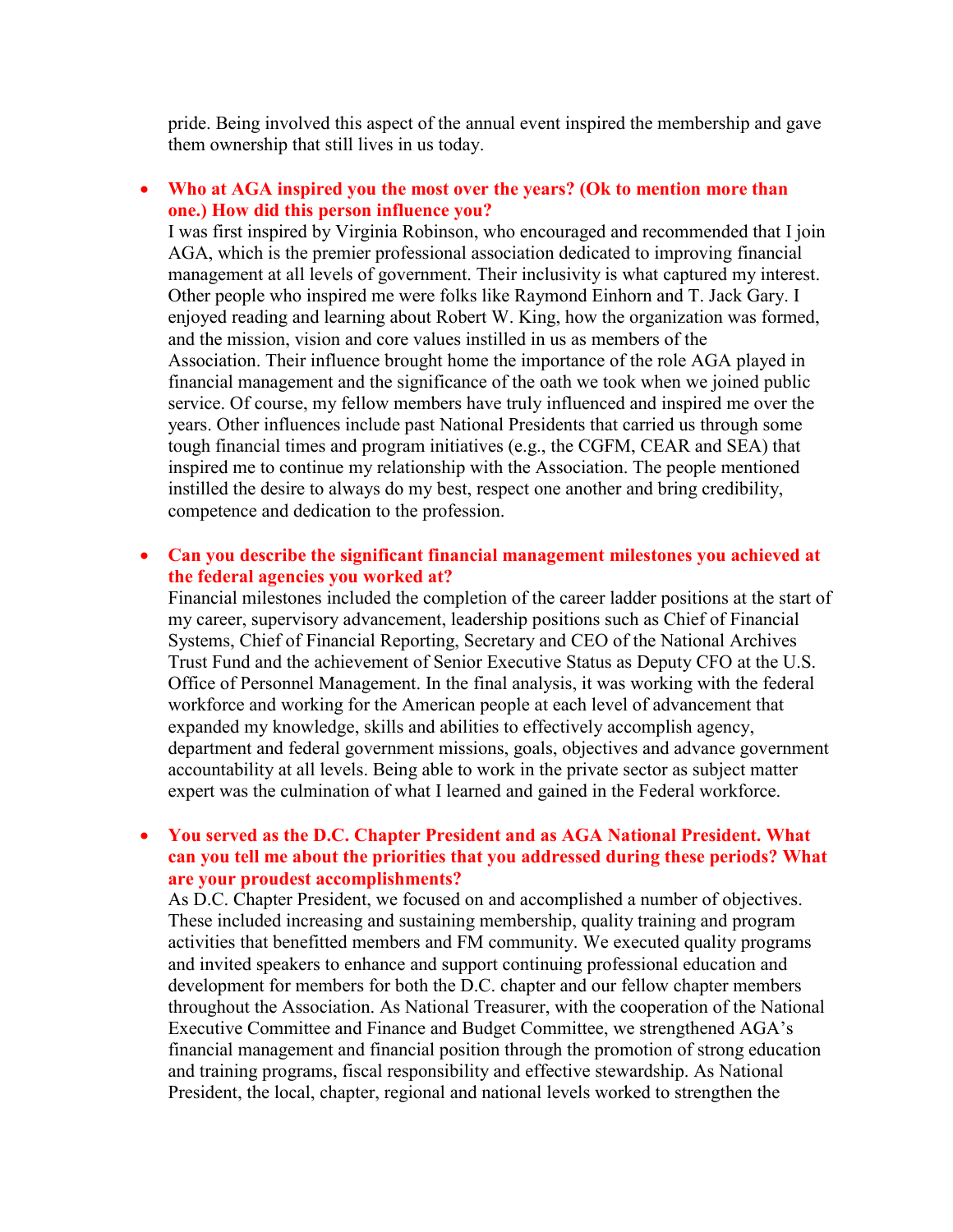pride. Being involved this aspect of the annual event inspired the membership and gave them ownership that still lives in us today.

## • **Who at AGA inspired you the most over the years? (Ok to mention more than one.) How did this person influence you?**

I was first inspired by Virginia Robinson, who encouraged and recommended that I join AGA, which is the premier professional association dedicated to improving financial management at all levels of government. Their inclusivity is what captured my interest. Other people who inspired me were folks like Raymond Einhorn and T. Jack Gary. I enjoyed reading and learning about Robert W. King, how the organization was formed, and the mission, vision and core values instilled in us as members of the Association. Their influence brought home the importance of the role AGA played in financial management and the significance of the oath we took when we joined public service. Of course, my fellow members have truly influenced and inspired me over the years. Other influences include past National Presidents that carried us through some tough financial times and program initiatives (e.g., the CGFM, CEAR and SEA) that inspired me to continue my relationship with the Association. The people mentioned instilled the desire to always do my best, respect one another and bring credibility, competence and dedication to the profession.

## • **Can you describe the significant financial management milestones you achieved at the federal agencies you worked at?**

Financial milestones included the completion of the career ladder positions at the start of my career, supervisory advancement, leadership positions such as Chief of Financial Systems, Chief of Financial Reporting, Secretary and CEO of the National Archives Trust Fund and the achievement of Senior Executive Status as Deputy CFO at the U.S. Office of Personnel Management. In the final analysis, it was working with the federal workforce and working for the American people at each level of advancement that expanded my knowledge, skills and abilities to effectively accomplish agency, department and federal government missions, goals, objectives and advance government accountability at all levels. Being able to work in the private sector as subject matter expert was the culmination of what I learned and gained in the Federal workforce.

### • **You served as the D.C. Chapter President and as AGA National President. What can you tell me about the priorities that you addressed during these periods? What are your proudest accomplishments?**

As D.C. Chapter President, we focused on and accomplished a number of objectives. These included increasing and sustaining membership, quality training and program activities that benefitted members and FM community. We executed quality programs and invited speakers to enhance and support continuing professional education and development for members for both the D.C. chapter and our fellow chapter members throughout the Association. As National Treasurer, with the cooperation of the National Executive Committee and Finance and Budget Committee, we strengthened AGA's financial management and financial position through the promotion of strong education and training programs, fiscal responsibility and effective stewardship. As National President, the local, chapter, regional and national levels worked to strengthen the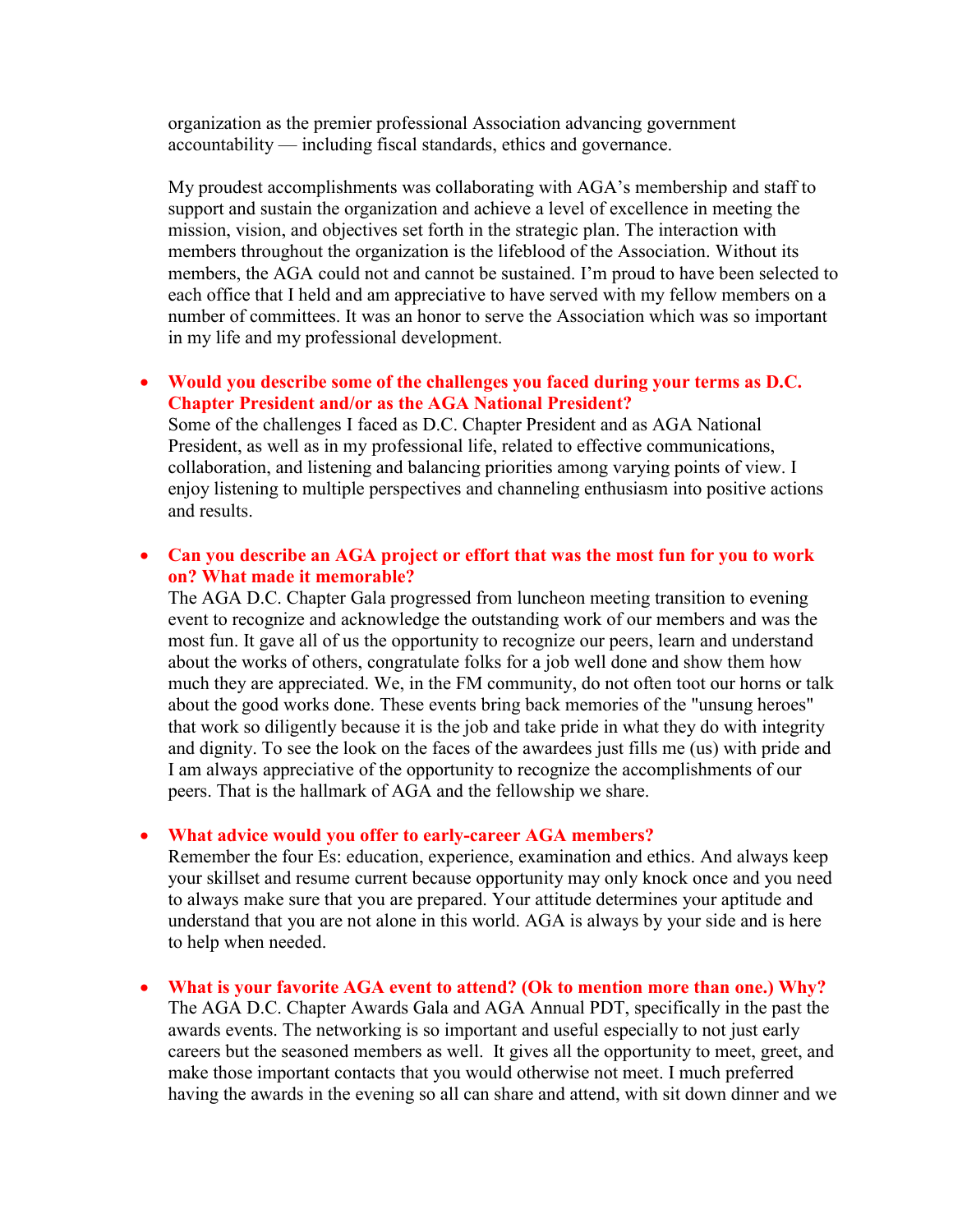organization as the premier professional Association advancing government accountability — including fiscal standards, ethics and governance.

My proudest accomplishments was collaborating with AGA's membership and staff to support and sustain the organization and achieve a level of excellence in meeting the mission, vision, and objectives set forth in the strategic plan. The interaction with members throughout the organization is the lifeblood of the Association. Without its members, the AGA could not and cannot be sustained. I'm proud to have been selected to each office that I held and am appreciative to have served with my fellow members on a number of committees. It was an honor to serve the Association which was so important in my life and my professional development.

### • **Would you describe some of the challenges you faced during your terms as D.C. Chapter President and/or as the AGA National President?**

Some of the challenges I faced as D.C. Chapter President and as AGA National President, as well as in my professional life, related to effective communications, collaboration, and listening and balancing priorities among varying points of view. I enjoy listening to multiple perspectives and channeling enthusiasm into positive actions and results.

## • **Can you describe an AGA project or effort that was the most fun for you to work on? What made it memorable?**

The AGA D.C. Chapter Gala progressed from luncheon meeting transition to evening event to recognize and acknowledge the outstanding work of our members and was the most fun. It gave all of us the opportunity to recognize our peers, learn and understand about the works of others, congratulate folks for a job well done and show them how much they are appreciated. We, in the FM community, do not often toot our horns or talk about the good works done. These events bring back memories of the "unsung heroes" that work so diligently because it is the job and take pride in what they do with integrity and dignity. To see the look on the faces of the awardees just fills me (us) with pride and I am always appreciative of the opportunity to recognize the accomplishments of our peers. That is the hallmark of AGA and the fellowship we share.

#### • **What advice would you offer to early-career AGA members?**

Remember the four Es: education, experience, examination and ethics. And always keep your skillset and resume current because opportunity may only knock once and you need to always make sure that you are prepared. Your attitude determines your aptitude and understand that you are not alone in this world. AGA is always by your side and is here to help when needed.

• **What is your favorite AGA event to attend? (Ok to mention more than one.) Why?** The AGA D.C. Chapter Awards Gala and AGA Annual PDT, specifically in the past the awards events. The networking is so important and useful especially to not just early careers but the seasoned members as well. It gives all the opportunity to meet, greet, and make those important contacts that you would otherwise not meet. I much preferred having the awards in the evening so all can share and attend, with sit down dinner and we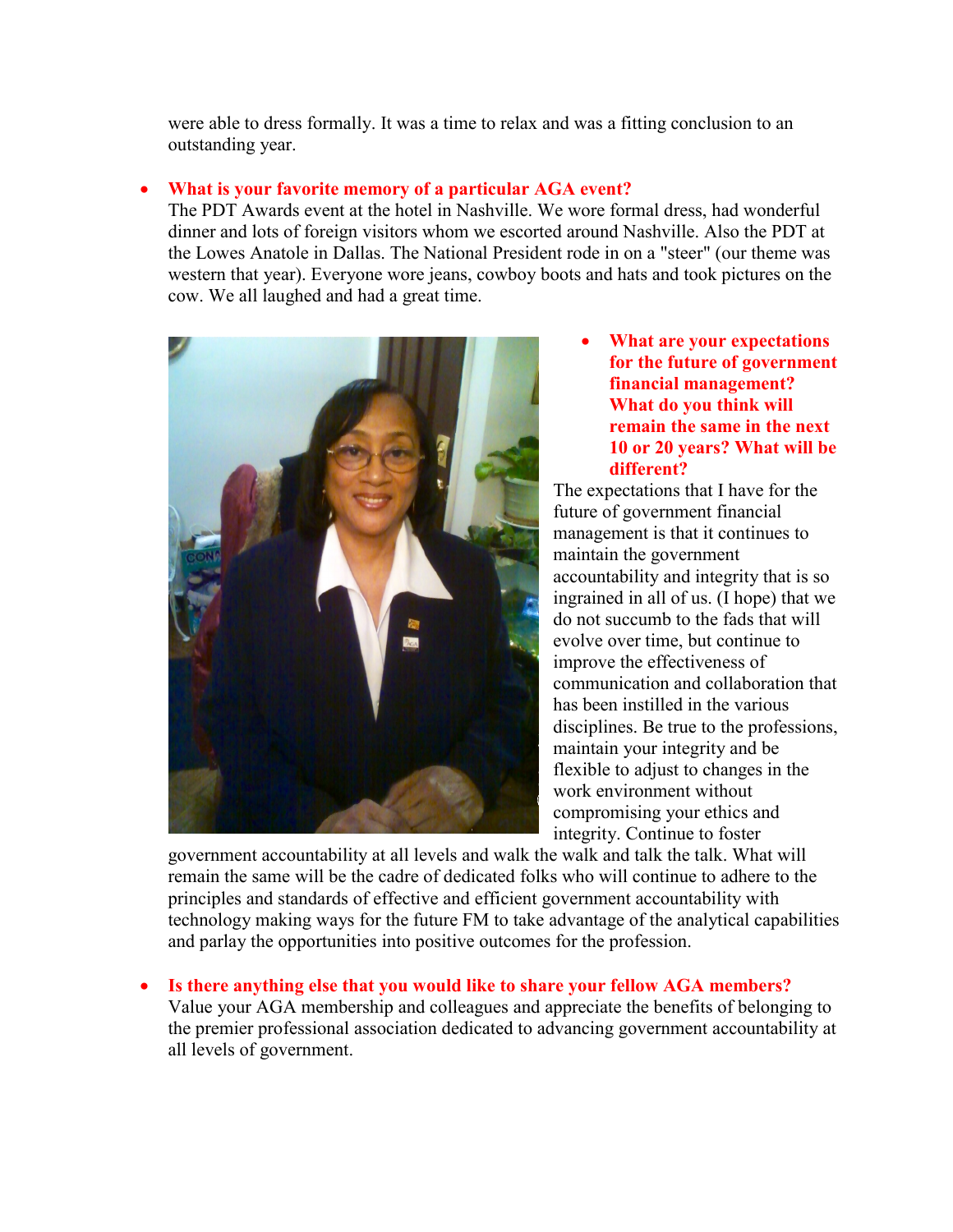were able to dress formally. It was a time to relax and was a fitting conclusion to an outstanding year.

# • **What is your favorite memory of a particular AGA event?**

The PDT Awards event at the hotel in Nashville. We wore formal dress, had wonderful dinner and lots of foreign visitors whom we escorted around Nashville. Also the PDT at the Lowes Anatole in Dallas. The National President rode in on a "steer" (our theme was western that year). Everyone wore jeans, cowboy boots and hats and took pictures on the cow. We all laughed and had a great time.



• **What are your expectations for the future of government financial management? What do you think will remain the same in the next 10 or 20 years? What will be different?**

The expectations that I have for the future of government financial management is that it continues to maintain the government accountability and integrity that is so ingrained in all of us. (I hope) that we do not succumb to the fads that will evolve over time, but continue to improve the effectiveness of communication and collaboration that has been instilled in the various disciplines. Be true to the professions, maintain your integrity and be flexible to adjust to changes in the work environment without compromising your ethics and integrity. Continue to foster

government accountability at all levels and walk the walk and talk the talk. What will remain the same will be the cadre of dedicated folks who will continue to adhere to the principles and standards of effective and efficient government accountability with technology making ways for the future FM to take advantage of the analytical capabilities and parlay the opportunities into positive outcomes for the profession.

• **Is there anything else that you would like to share your fellow AGA members?**

Value your AGA membership and colleagues and appreciate the benefits of belonging to the premier professional association dedicated to advancing government accountability at all levels of government.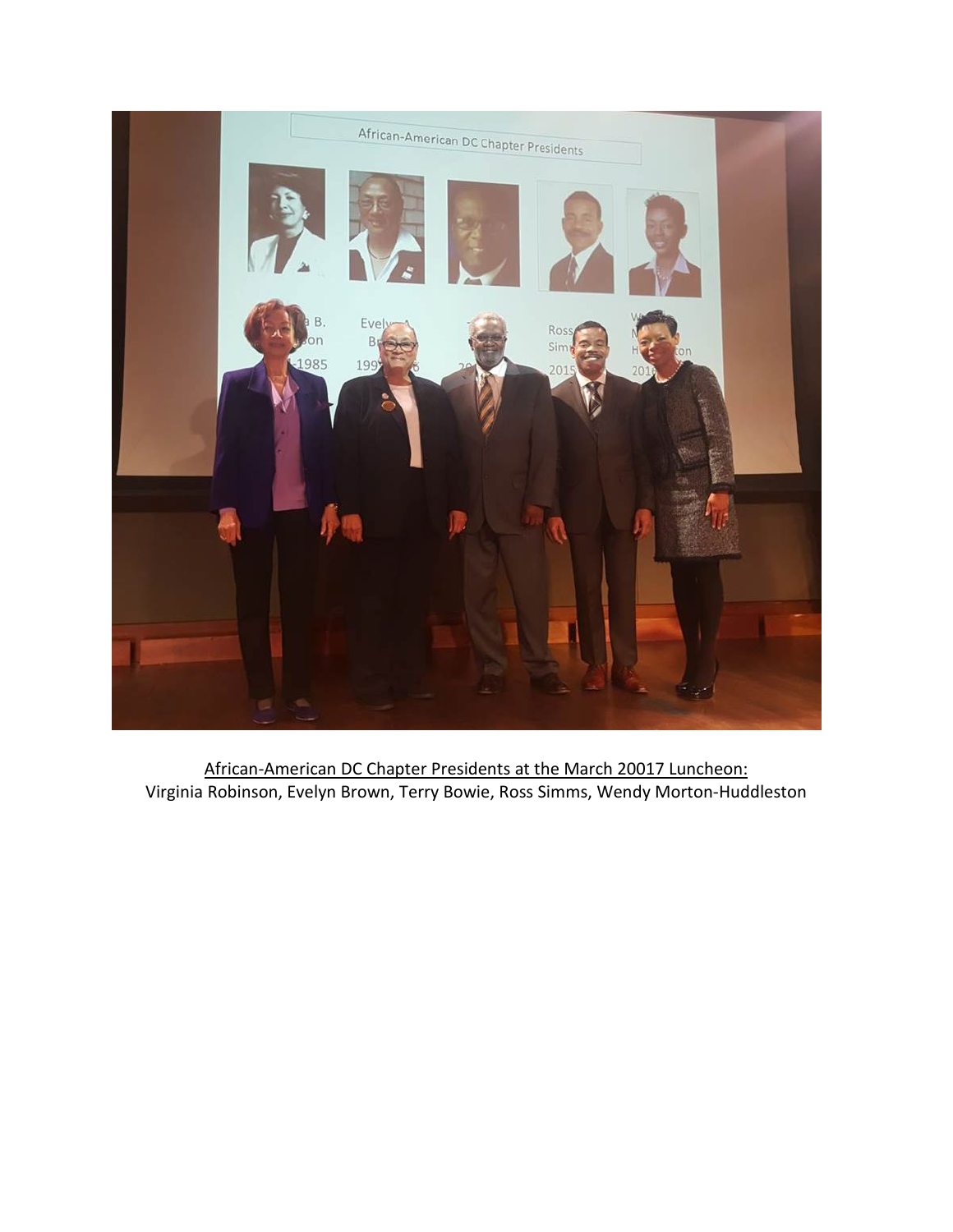

African-American DC Chapter Presidents at the March 20017 Luncheon: Virginia Robinson, Evelyn Brown, Terry Bowie, Ross Simms, Wendy Morton-Huddleston